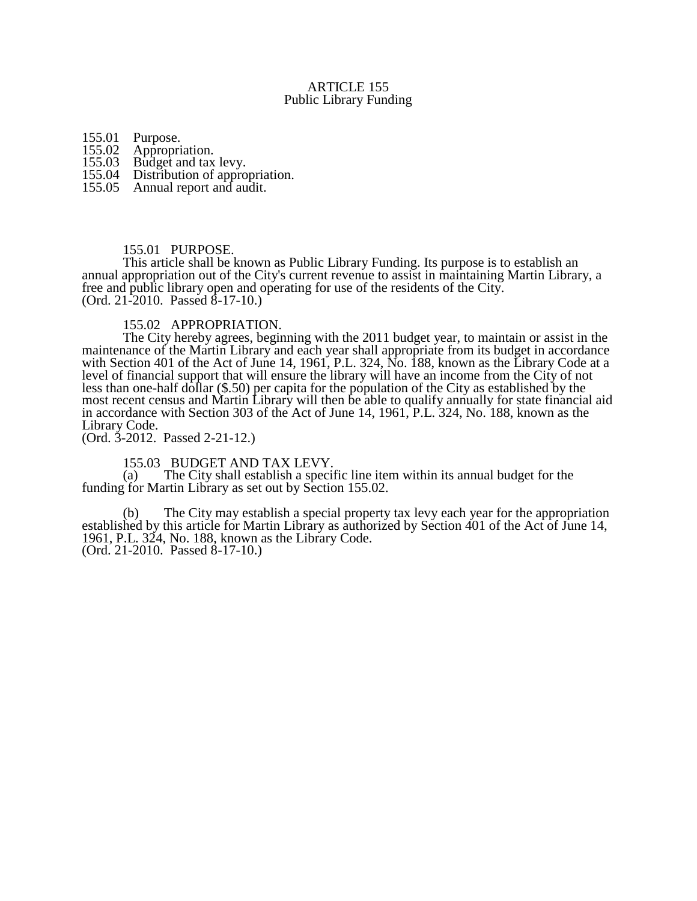## ARTICLE 155 Public Library Funding

155.01 Purpose.<br>155.02 Appropri

155.02 Appropriation.<br>155.03 Budget and tax

155.03 Budget and tax levy.<br>155.04 Distribution of appro

- Distribution of appropriation.
- 155.05 Annual report and audit.

## 155.01 PURPOSE.

This article shall be known as Public Library Funding. Its purpose is to establish an annual appropriation out of the City's current revenue to assist in maintaining Martin Library, a free and public library open and operating for use of the residents of the City. (Ord. 21-2010. Passed 8-17-10.)

## 155.02 APPROPRIATION.

The City hereby agrees, beginning with the 2011 budget year, to maintain or assist in the maintenance of the Martin Library and each year shall appropriate from its budget in accordance with Section 401 of the Act of June 14, 1961, P.L. 324, No. 188, known as the Library Code at a level of financial support that will ensure the library will have an income from the City of not less than one-half dollar (\$.50) per capita for the population of the City as established by the most recent census and Martin Library will then be able to qualify annually for state financial aid in accordance with Section 303 of the Act of June 14, 1961, P.L. 324, No. 188, known as the Library Code.

(Ord. 3-2012. Passed 2-21-12.)

155.03 BUDGET AND TAX LEVY.<br>(a) The City shall establish a specif

The City shall establish a specific line item within its annual budget for the funding for Martin Library as set out by Section 155.02.

(b) The City may establish a special property tax levy each year for the appropriation established by this article for Martin Library as authorized by Section 401 of the Act of June 14, 1961, P.L. 324, No. 188, known as the Library Code. (Ord. 21-2010. Passed 8-17-10.)